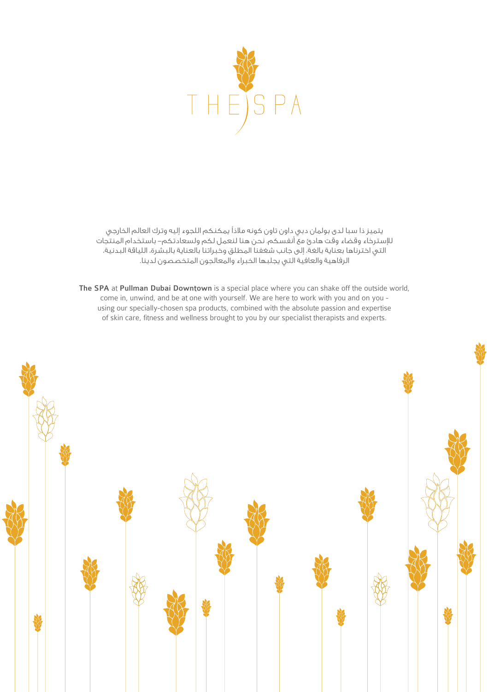

يتميز ذا سبا لدى بولمان دبي داون تاون كونه مالذًا يمكنكم اللجوء إليه وترك العالم الخارجي لإلسترخاء وقضاء وقت هادئ مع أنفسكم. نحن هنا لنعمل لكم ولسعادتكم- باستخدام المنتجات التي اخترناها بعناية بالغة، إلى جانب شغفنا المطلق وخبراتنا بالعناية بالبشرة، اللياقة البدنية، الرفاهية والعافية التي يجلبها الخبراء والمعالجون المتخصصون لدينا.

The SPA at Pullman Dubai Downtown is a special place where you can shake off the outside world, come in, unwind, and be at one with yourself. We are here to work with you and on you using our specially-chosen spa products, combined with the absolute passion and expertise of skin care, fitness and wellness brought to you by our specialist therapists and experts.

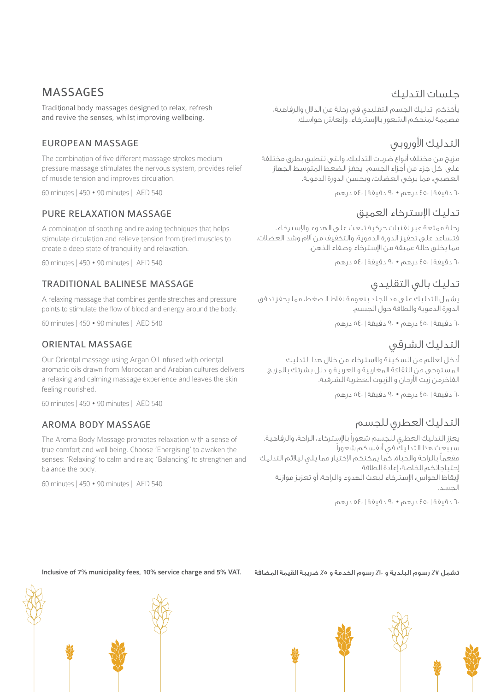# MASSAGES

Traditional body massages designed to relax, refresh and revive the senses, whilst improving wellbeing.

## EUROPEAN MASSAGE

The combination of five different massage strokes medium pressure massage stimulates the nervous system, provides relief of muscle tension and improves circulation.

60 minutes | 450 • 90 minutes | AED 540

### PURE RELAXATION MASSAGE

A combination of soothing and relaxing techniques that helps stimulate circulation and relieve tension from tired muscles to create a deep state of tranquility and relaxation.

60 minutes | 450 • 90 minutes | AED 540

### TRADITIONAL BALINESE MASSAGE

A relaxing massage that combines gentle stretches and pressure points to stimulate the flow of blood and energy around the body.

60 minutes | 450 • 90 minutes | AED 540

### ORIENTAL MASSAGE

Our Oriental massage using Argan Oil infused with oriental aromatic oils drawn from Moroccan and Arabian cultures delivers a relaxing and calming massage experience and leaves the skin feeling nourished.

60 minutes | 450 • 90 minutes | AED 540

### AROMA BODY MASSAGE

The Aroma Body Massage promotes relaxation with a sense of true comfort and well being. Choose 'Energising' to awaken the senses: 'Relaxing' to calm and relax; 'Balancing' to strengthen and balance the body.

60 minutes | 450 • 90 minutes | AED 540

### جلسات التدليك

يأخذكم تدليك الجسم التقليدي في رحلة من الدالل والرفاهية، مصممة لمنحكم الشعور باإلسترخاء، وإنعاش حواسك.

# التدليك الأوروبي

مزيج من مختلف أنواع ضربات التدليك، والتي تتطبق بطرق مختلفة على كل جزء من أجزاء الجسم. يحفز الضغط المتوسط الجهاز العصبي، مما يرخي العضالت، ويحسن الدورة الدموية.

60 دقيقة | 450 درهم • 90 دقيقة | 540 درهم

# تدليك اإلسترخاء العميق

رحلة ممتعة عبر تقنيات حركية تبعث على الهدوء واإلسترخاء. فتساعد على تحفيز الدورة الدموية، والتخفيف من آالم وشد العضالت، مما يخلق حالة عميقة من اإلسترخاء وصفاء الذهن.

60 دقيقة | 450 درهم • 90 دقيقة | 540 درهم

# تدليك بالي التقليدي

يشمل التدليك على مد الجلد بنعومة نقاط الضغط، مما يحفز تدفق الدورة الدموية والطاقة حول الجسم.

60 دقيقة | 450 درهم • 90 دقيقة | 540 درهم

# التدليك الشرقي

أدخل لعالم من السكينة واالسترخاء من خالل هذا التدليك المستوحى من الثقافة المغاربية و العربية و دلل بشرتك بالمزيج الفاخرمن زيت األرجان و الزيوت العطرية الشرقية.

60 دقيقة | 450 درهم • 90 دقيقة | 540 درهم

# التدليك العطري للجسم

يعزز التدليك العطري للجسم شعوراً باإلسترخاء، الراحة، والرفاهية. سيبعث هذا التدليك في أنفسكم شعوراً ً مفعما بالراحة والحياة. كما يمكنكم اإلختيار مما يلي ليالئم التدليك إحتياجاتكم الخاصة: إعادة الطاقة إليقاظ الحواس، اإلسترخاء لبعث الهدوء والراحة، أو تعزيز موازنة الجسد.

60 دقيقة | 450 درهم • 90 دقيقة | 540 درهم

تشمل ٧٪ رسوم البلدية و ٧٪ رسوم الخدمة و ٥٪ ضريبة القيمة المضافة . Inclusive of 7% municipality fees, 10% service charge and 5% VAT



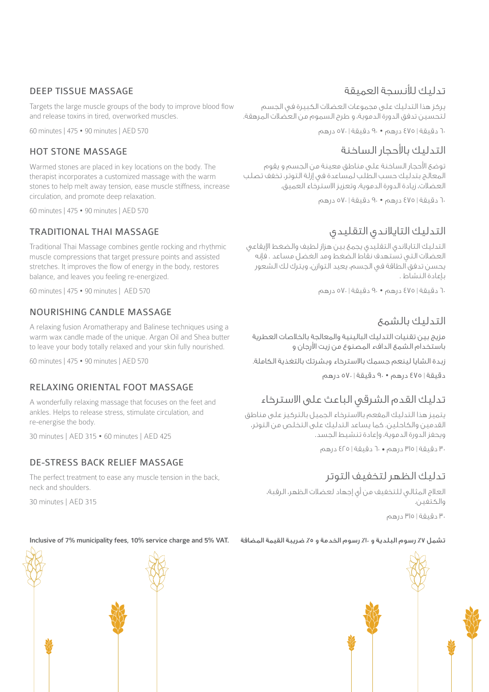### DEEP TISSUE MASSAGE

Targets the large muscle groups of the body to improve blood flow and release toxins in tired, overworked muscles.

60 minutes | 475 • 90 minutes | AED 570

### HOT STONE MASSAGE

Warmed stones are placed in key locations on the body. The therapist incorporates a customized massage with the warm stones to help melt away tension, ease muscle stiffness, increase circulation, and promote deep relaxation.

60 minutes | 475 • 90 minutes | AED 570

### TRADITIONAL THAI MASSAGE

Traditional Thai Massage combines gentle rocking and rhythmic muscle compressions that target pressure points and assisted stretches. It improves the flow of energy in the body, restores balance, and leaves you feeling re-energized.

60 minutes | 475 • 90 minutes | AED 570

### NOURISHING CANDLE MASSAGE

A relaxing fusion Aromatherapy and Balinese techniques using a warm wax candle made of the unique. Argan Oil and Shea butter to leave your body totally relaxed and your skin fully nourished.

60 minutes | 475 • 90 minutes | AED 570

## RELAXING ORIENTAL FOOT MASSAGE

A wonderfully relaxing massage that focuses on the feet and ankles. Helps to release stress, stimulate circulation, and re-energise the body.

30 minutes | AED 315 • 60 minutes | AED 425

### DE-STRESS BACK RELIEF MASSAGE

The perfect treatment to ease any muscle tension in the back, neck and shoulders.

30 minutes | AED 315

# تدليك لألنسجة العميقة

يركز هذا التدليك على مجموعات العضالت الكبيرة في الجسم لتحسين تدفق الدورة الدموية، و طرح السموم من العضالت المرهقة.

60 دقيقة | 475 درهم • 90 دقيقة | 570 درهم

## التدليك بالأحجار الساخنة

توضع األحجار الساخنة على مناطق معينة من الجسم و يقوم المعالج بتدليك حسب الطلب لمساعدة في إزلة التوتر، تخفف تصلب العضالت، زيادة الدورة الدموية، وتعزيز االسترخاء العميق.

60 دقيقة | 475 درهم • 90 دقيقة | 570 درهم

# التدليك التايالندي التقليدي

التدليك التايالندي التقليدي يجمع بين هزاز لطيف والضغط اإليقاعي العضالت التي تستهدف نقاط الضغط ومد الغضل مساعد . فإنه يحسن تدفق الطاقة في الجسم، يعيد التوازن، ويترك لك الشعور بإعادة النشاط .

60 دقيقة | 475 درهم • 90 دقيقة | 570 درهم

# التدليك بالشمع

مزيج بين تقنيات التدليك البالينية والمعالجة بالخالصات العطرية باستخدام الشمع الدافء المصنوع من زيت األرجان و

زبدة الشايا لينعم جسمك باالسترخاء وبشرتك بالتغذية الكاملة.

دقيقة | 475 درهم • 90 دقيقة | 570 درهم

# تدليك القدم الشرقي الباعث على االسترخاء

يتميز هذا التدليك المفعم باالسترخاء الجميل بالتركيز على مناطق القدمين والكاحلين. كما يساعد التدليك على التخلص من التوتر، ويحفز الدورة الدموية، وإعادة تنشيط الجسد.

30 دقيقة | 315 درهم • 60 دقيقة | 425 درهم

# تدليك الظهر لتخفيف التوتر

العالج المثالي للتخفيف من أي إجهاد لعضالت الظهر، الرقبة، والكتفين.

30 دقيقة | 315 درهم

#### تشمل ٧٪ رسوم البلدية و ٧٪ رسوم الخدمة و ٥٪ ضريبة القيمة المضافة . Inclusive of 7% municipality fees, 10% service charge and 5% VAT



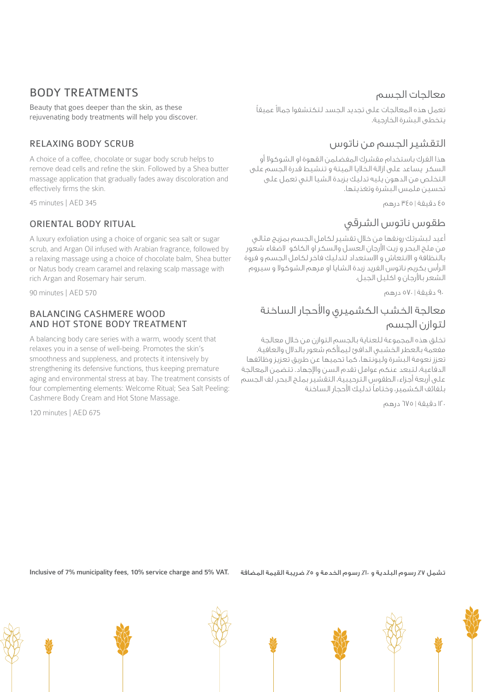# BODY TREATMENTS

Beauty that goes deeper than the skin, as these rejuvenating body treatments will help you discover.

### RELAXING BODY SCRUB

A choice of a coffee, chocolate or sugar body scrub helps to remove dead cells and refine the skin. Followed by a Shea butter massage application that gradually fades away discoloration and effectively firms the skin.

45 minutes | AED 345

### ORIENTAL BODY RITUAL

A luxury exfoliation using a choice of organic sea salt or sugar scrub, and Argan Oil infused with Arabian fragrance, followed by a relaxing massage using a choice of chocolate balm, Shea butter or Natus body cream caramel and relaxing scalp massage with rich Argan and Rosemary hair serum.

90 minutes | AED 570

#### BALANCING CASHMERE WOOD AND HOT STONE BODY TREATMENT

A balancing body care series with a warm, woody scent that relaxes you in a sense of well-being. Promotes the skin's smoothness and suppleness, and protects it intensively by strengthening its defensive functions, thus keeping premature aging and environmental stress at bay. The treatment consists of four complementing elements: Welcome Ritual; Sea Salt Peeling: Cashmere Body Cream and Hot Stone Massage.

120 minutes | AED 675

## معالجات الجسم

نعمل هذه المعالجات على تجديد الجسد لتكتشفوا جمالا عميقا يتخطى البشرة الخارجية.

# التقشير الجسم من ناتوس

هذا الفرك باستخدام مقشرك المفضلمن القهوة او الشوكوال أو السكر يساعد على ازالة الخاليا الميتة و تنشيط قدرة الجسم على التخلص من الدهون يليه تدليك بزبدة الشيا التي تعمل على تحسين ملمس البشرة وتغذيتها.

45 دقيقة | 345 درهم

# طقوس ناتوس الشرقي

أعيد لبشرتك رونقها من خالل تقشير لكامل الجسم بمزيج مثالي من ملح البحر و زيت األرجان العسل والسكر او الكاكو الضفاء شعور بالنظافة و االنتعاش و االستعداد لتدليك فاخر لكامل الجسم و فروة الرأس بكريم ناتوس الفريد زبدة الشايا او مرهم الشوكوال و سيروم الشعر باألرجان و اكليل الجبل.

.<br>9<sub>۰</sub> دقيقة | ٥٧٠ درهم

# معالجة الخشب الكشميري واألحجار الساخنة لتوازن الجسم

تخلق هذه المجموعة للعناية بالجسم التوازن من خالل معالجة مفعمة بالعطر الخشبي الدافئ ليمألكم شعور بالدالل والعافية. تعزز نعومة البشرة وليونتها، كما تحميها عن طريق تعزيز وظائفها الدفاعية، لتبعد عنكم عوامل تقدم السن واإلجهاد. تتضمن المعالجة على أربعة أجزاء: الطقوس الترحيبية، التقشير بملح البحر، لف الجسم ً بلفائف الكشمير، وختاما تدليك األحجار الساخنة

120 دقيقة | 675 درهم

تشمل ٧٪ رسوم البلدية و ١٠٪ رسوم الخدمة و ٥٪ ضريبة القيمة المضافة . Inclusive of 7% municipality fees, 10% service charge and 5% VAT